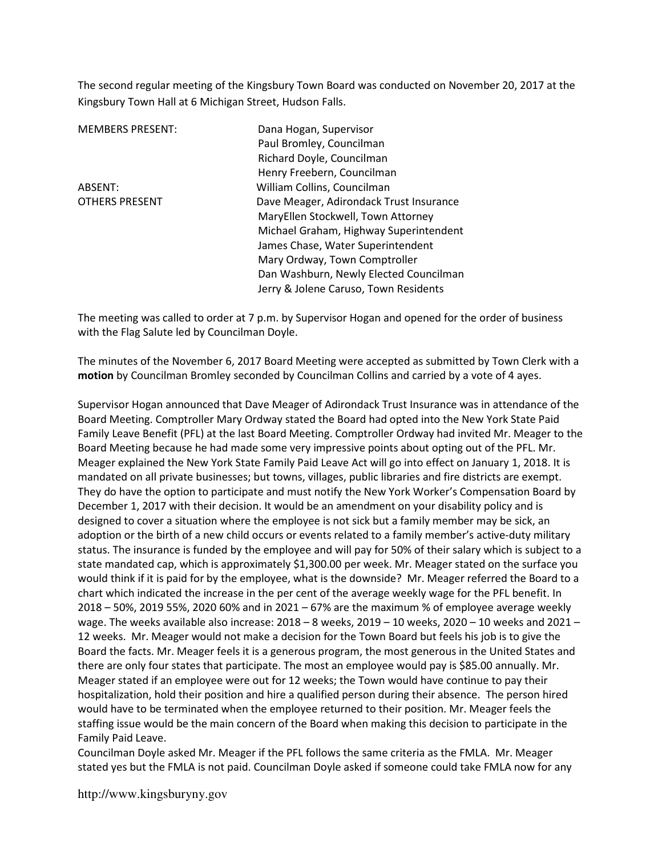The second regular meeting of the Kingsbury Town Board was conducted on November 20, 2017 at the Kingsbury Town Hall at 6 Michigan Street, Hudson Falls.

MEMBERS PRESENT: Dana Hogan, Supervisor Paul Bromley, Councilman Richard Doyle, Councilman Henry Freebern, Councilman ABSENT: William Collins, Councilman OTHERS PRESENT Dave Meager, Adirondack Trust Insurance MaryEllen Stockwell, Town Attorney Michael Graham, Highway Superintendent James Chase, Water Superintendent Mary Ordway, Town Comptroller Dan Washburn, Newly Elected Councilman Jerry & Jolene Caruso, Town Residents

The meeting was called to order at 7 p.m. by Supervisor Hogan and opened for the order of business with the Flag Salute led by Councilman Doyle.

The minutes of the November 6, 2017 Board Meeting were accepted as submitted by Town Clerk with a motion by Councilman Bromley seconded by Councilman Collins and carried by a vote of 4 ayes.

Supervisor Hogan announced that Dave Meager of Adirondack Trust Insurance was in attendance of the Board Meeting. Comptroller Mary Ordway stated the Board had opted into the New York State Paid Family Leave Benefit (PFL) at the last Board Meeting. Comptroller Ordway had invited Mr. Meager to the Board Meeting because he had made some very impressive points about opting out of the PFL. Mr. Meager explained the New York State Family Paid Leave Act will go into effect on January 1, 2018. It is mandated on all private businesses; but towns, villages, public libraries and fire districts are exempt. They do have the option to participate and must notify the New York Worker's Compensation Board by December 1, 2017 with their decision. It would be an amendment on your disability policy and is designed to cover a situation where the employee is not sick but a family member may be sick, an adoption or the birth of a new child occurs or events related to a family member's active-duty military status. The insurance is funded by the employee and will pay for 50% of their salary which is subject to a state mandated cap, which is approximately \$1,300.00 per week. Mr. Meager stated on the surface you would think if it is paid for by the employee, what is the downside? Mr. Meager referred the Board to a chart which indicated the increase in the per cent of the average weekly wage for the PFL benefit. In 2018 – 50%, 2019 55%, 2020 60% and in 2021 – 67% are the maximum % of employee average weekly wage. The weeks available also increase: 2018 – 8 weeks, 2019 – 10 weeks, 2020 – 10 weeks and 2021 – 12 weeks. Mr. Meager would not make a decision for the Town Board but feels his job is to give the Board the facts. Mr. Meager feels it is a generous program, the most generous in the United States and there are only four states that participate. The most an employee would pay is \$85.00 annually. Mr. Meager stated if an employee were out for 12 weeks; the Town would have continue to pay their hospitalization, hold their position and hire a qualified person during their absence. The person hired would have to be terminated when the employee returned to their position. Mr. Meager feels the staffing issue would be the main concern of the Board when making this decision to participate in the Family Paid Leave.

Councilman Doyle asked Mr. Meager if the PFL follows the same criteria as the FMLA. Mr. Meager stated yes but the FMLA is not paid. Councilman Doyle asked if someone could take FMLA now for any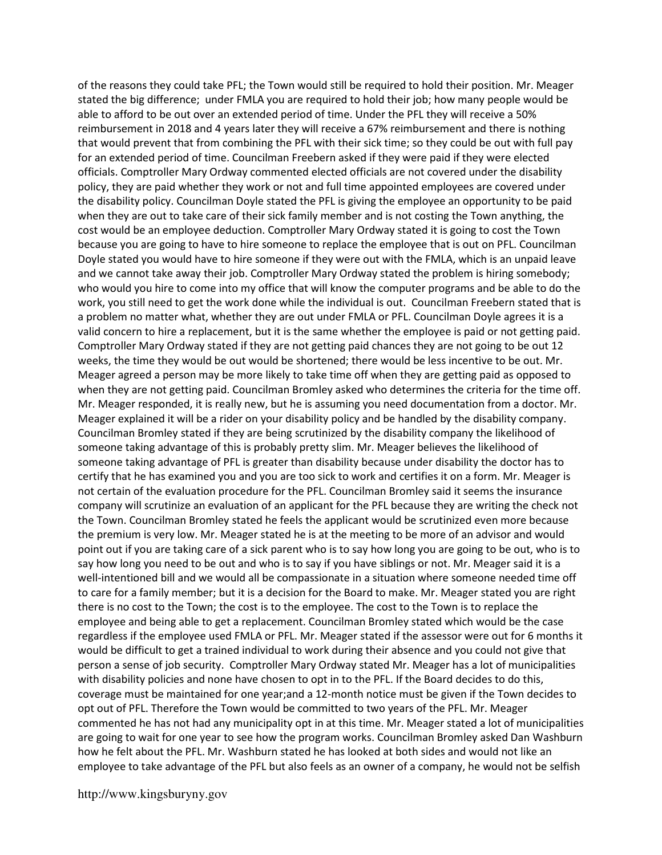of the reasons they could take PFL; the Town would still be required to hold their position. Mr. Meager stated the big difference; under FMLA you are required to hold their job; how many people would be able to afford to be out over an extended period of time. Under the PFL they will receive a 50% reimbursement in 2018 and 4 years later they will receive a 67% reimbursement and there is nothing that would prevent that from combining the PFL with their sick time; so they could be out with full pay for an extended period of time. Councilman Freebern asked if they were paid if they were elected officials. Comptroller Mary Ordway commented elected officials are not covered under the disability policy, they are paid whether they work or not and full time appointed employees are covered under the disability policy. Councilman Doyle stated the PFL is giving the employee an opportunity to be paid when they are out to take care of their sick family member and is not costing the Town anything, the cost would be an employee deduction. Comptroller Mary Ordway stated it is going to cost the Town because you are going to have to hire someone to replace the employee that is out on PFL. Councilman Doyle stated you would have to hire someone if they were out with the FMLA, which is an unpaid leave and we cannot take away their job. Comptroller Mary Ordway stated the problem is hiring somebody; who would you hire to come into my office that will know the computer programs and be able to do the work, you still need to get the work done while the individual is out. Councilman Freebern stated that is a problem no matter what, whether they are out under FMLA or PFL. Councilman Doyle agrees it is a valid concern to hire a replacement, but it is the same whether the employee is paid or not getting paid. Comptroller Mary Ordway stated if they are not getting paid chances they are not going to be out 12 weeks, the time they would be out would be shortened; there would be less incentive to be out. Mr. Meager agreed a person may be more likely to take time off when they are getting paid as opposed to when they are not getting paid. Councilman Bromley asked who determines the criteria for the time off. Mr. Meager responded, it is really new, but he is assuming you need documentation from a doctor. Mr. Meager explained it will be a rider on your disability policy and be handled by the disability company. Councilman Bromley stated if they are being scrutinized by the disability company the likelihood of someone taking advantage of this is probably pretty slim. Mr. Meager believes the likelihood of someone taking advantage of PFL is greater than disability because under disability the doctor has to certify that he has examined you and you are too sick to work and certifies it on a form. Mr. Meager is not certain of the evaluation procedure for the PFL. Councilman Bromley said it seems the insurance company will scrutinize an evaluation of an applicant for the PFL because they are writing the check not the Town. Councilman Bromley stated he feels the applicant would be scrutinized even more because the premium is very low. Mr. Meager stated he is at the meeting to be more of an advisor and would point out if you are taking care of a sick parent who is to say how long you are going to be out, who is to say how long you need to be out and who is to say if you have siblings or not. Mr. Meager said it is a well-intentioned bill and we would all be compassionate in a situation where someone needed time off to care for a family member; but it is a decision for the Board to make. Mr. Meager stated you are right there is no cost to the Town; the cost is to the employee. The cost to the Town is to replace the employee and being able to get a replacement. Councilman Bromley stated which would be the case regardless if the employee used FMLA or PFL. Mr. Meager stated if the assessor were out for 6 months it would be difficult to get a trained individual to work during their absence and you could not give that person a sense of job security. Comptroller Mary Ordway stated Mr. Meager has a lot of municipalities with disability policies and none have chosen to opt in to the PFL. If the Board decides to do this, coverage must be maintained for one year;and a 12-month notice must be given if the Town decides to opt out of PFL. Therefore the Town would be committed to two years of the PFL. Mr. Meager commented he has not had any municipality opt in at this time. Mr. Meager stated a lot of municipalities are going to wait for one year to see how the program works. Councilman Bromley asked Dan Washburn how he felt about the PFL. Mr. Washburn stated he has looked at both sides and would not like an employee to take advantage of the PFL but also feels as an owner of a company, he would not be selfish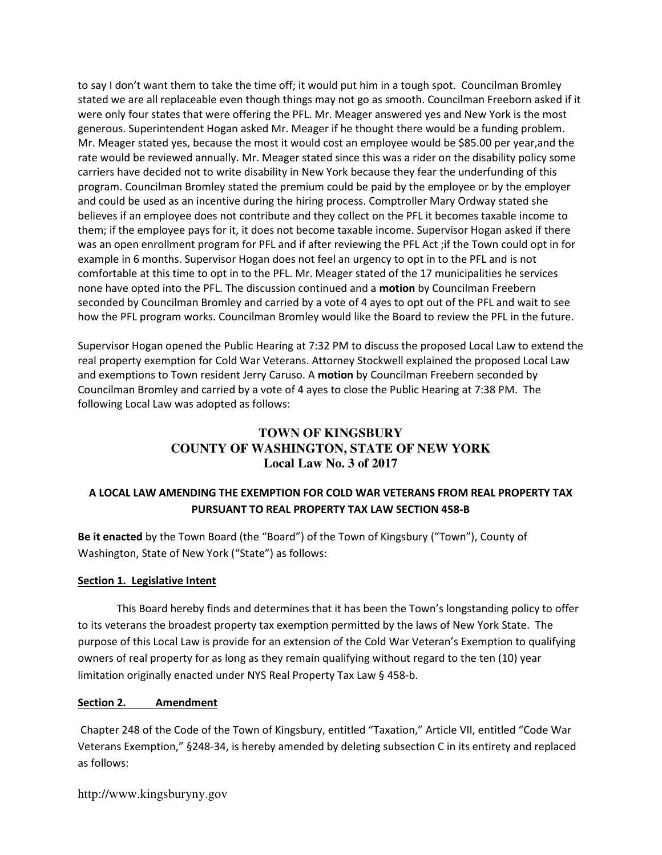to say I don't want them to take the time off; it would put him in a tough spot. Councilman Bromley stated we are all replaceable even though things may not go as smooth. Councilman Freeborn asked if it were only four states that were offering the PFL. Mr. Meager answered yes and New York is the most generous. Superintendent Hogan asked Mr. Meager if he thought there would be a funding problem. Mr. Meager stated yes, because the most it would cost an employee would be \$85.00 per year,and the rate would be reviewed annually. Mr. Meager stated since this was a rider on the disability policy some carriers have decided not to write disability in New York because they fear the underfunding of this program. Councilman Bromley stated the premium could be paid by the employee or by the employer and could be used as an incentive during the hiring process. Comptroller Mary Ordway stated she believes if an employee does not contribute and they collect on the PFL it becomes taxable income to them; if the employee pays for it, it does not become taxable income. Supervisor Hogan asked if there was an open enrollment program for PFL and if after reviewing the PFL Act ;if the Town could opt in for example in 6 months. Supervisor Hogan does not feel an urgency to opt in to the PFL and is not comfortable at this time to opt in to the PFL. Mr. Meager stated of the 17 municipalities he services none have opted into the PFL. The discussion continued and a motion by Councilman Freebern seconded by Councilman Bromley and carried by a vote of 4 ayes to opt out of the PFL and wait to see how the PFL program works. Councilman Bromley would like the Board to review the PFL in the future.

Supervisor Hogan opened the Public Hearing at 7:32 PM to discuss the proposed Local Law to extend the real property exemption for Cold War Veterans. Attorney Stockwell explained the proposed Local Law and exemptions to Town resident Jerry Caruso. A motion by Councilman Freebern seconded by Councilman Bromley and carried by a vote of 4 ayes to close the Public Hearing at 7:38 PM. The following Local Law was adopted as follows:

# **TOWN OF KINGSBURY COUNTY OF WASHINGTON, STATE OF NEW YORK Local Law No. 3 of 2017**

# A LOCAL LAW AMENDING THE EXEMPTION FOR COLD WAR VETERANS FROM REAL PROPERTY TAX PURSUANT TO REAL PROPERTY TAX LAW SECTION 458-B

Be it enacted by the Town Board (the "Board") of the Town of Kingsbury ("Town"), County of Washington, State of New York ("State") as follows:

#### Section 1. Legislative Intent

 This Board hereby finds and determines that it has been the Town's longstanding policy to offer to its veterans the broadest property tax exemption permitted by the laws of New York State. The purpose of this Local Law is provide for an extension of the Cold War Veteran's Exemption to qualifying owners of real property for as long as they remain qualifying without regard to the ten (10) year limitation originally enacted under NYS Real Property Tax Law § 458-b.

#### Section 2. Amendment

 Chapter 248 of the Code of the Town of Kingsbury, entitled "Taxation," Article VII, entitled "Code War Veterans Exemption," §248-34, is hereby amended by deleting subsection C in its entirety and replaced as follows: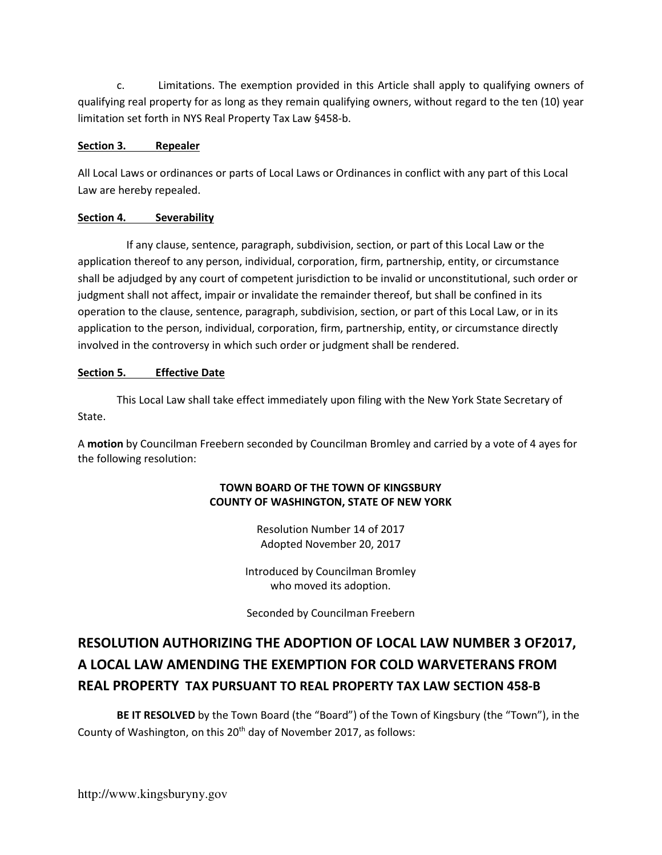c. Limitations. The exemption provided in this Article shall apply to qualifying owners of qualifying real property for as long as they remain qualifying owners, without regard to the ten (10) year limitation set forth in NYS Real Property Tax Law §458-b.

# Section 3. Repealer

All Local Laws or ordinances or parts of Local Laws or Ordinances in conflict with any part of this Local Law are hereby repealed.

# Section 4. Severability

If any clause, sentence, paragraph, subdivision, section, or part of this Local Law or the application thereof to any person, individual, corporation, firm, partnership, entity, or circumstance shall be adjudged by any court of competent jurisdiction to be invalid or unconstitutional, such order or judgment shall not affect, impair or invalidate the remainder thereof, but shall be confined in its operation to the clause, sentence, paragraph, subdivision, section, or part of this Local Law, or in its application to the person, individual, corporation, firm, partnership, entity, or circumstance directly involved in the controversy in which such order or judgment shall be rendered.

# Section 5. Effective Date

This Local Law shall take effect immediately upon filing with the New York State Secretary of State.

A motion by Councilman Freebern seconded by Councilman Bromley and carried by a vote of 4 ayes for the following resolution:

# TOWN BOARD OF THE TOWN OF KINGSBURY COUNTY OF WASHINGTON, STATE OF NEW YORK

Resolution Number 14 of 2017 Adopted November 20, 2017

Introduced by Councilman Bromley who moved its adoption.

Seconded by Councilman Freebern

# RESOLUTION AUTHORIZING THE ADOPTION OF LOCAL LAW NUMBER 3 OF2017, A LOCAL LAW AMENDING THE EXEMPTION FOR COLD WARVETERANS FROM REAL PROPERTY TAX PURSUANT TO REAL PROPERTY TAX LAW SECTION 458-B

 BE IT RESOLVED by the Town Board (the "Board") of the Town of Kingsbury (the "Town"), in the County of Washington, on this 20<sup>th</sup> day of November 2017, as follows: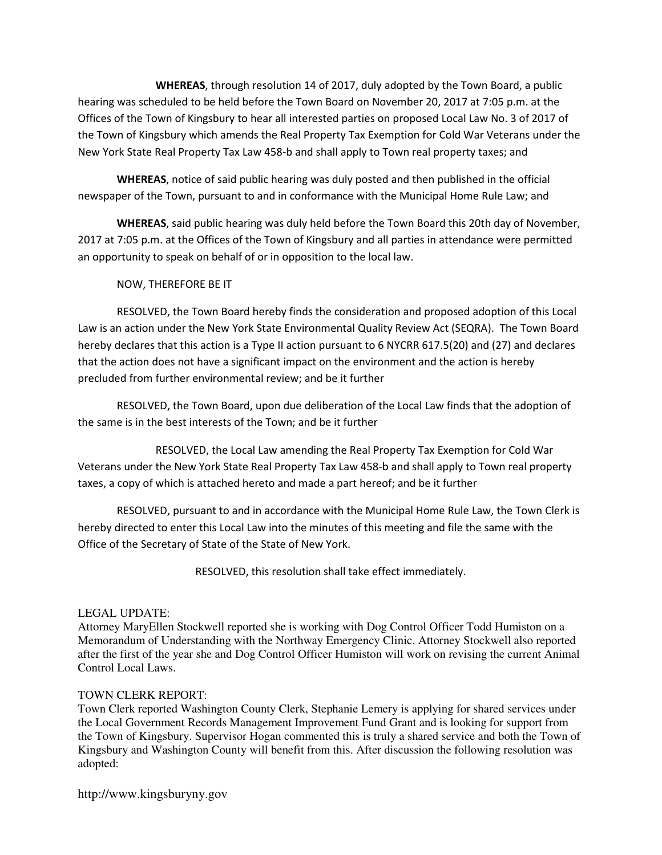WHEREAS, through resolution 14 of 2017, duly adopted by the Town Board, a public hearing was scheduled to be held before the Town Board on November 20, 2017 at 7:05 p.m. at the Offices of the Town of Kingsbury to hear all interested parties on proposed Local Law No. 3 of 2017 of the Town of Kingsbury which amends the Real Property Tax Exemption for Cold War Veterans under the New York State Real Property Tax Law 458-b and shall apply to Town real property taxes; and

WHEREAS, notice of said public hearing was duly posted and then published in the official newspaper of the Town, pursuant to and in conformance with the Municipal Home Rule Law; and

WHEREAS, said public hearing was duly held before the Town Board this 20th day of November, 2017 at 7:05 p.m. at the Offices of the Town of Kingsbury and all parties in attendance were permitted an opportunity to speak on behalf of or in opposition to the local law.

# NOW, THEREFORE BE IT

 RESOLVED, the Town Board hereby finds the consideration and proposed adoption of this Local Law is an action under the New York State Environmental Quality Review Act (SEQRA). The Town Board hereby declares that this action is a Type II action pursuant to 6 NYCRR 617.5(20) and (27) and declares that the action does not have a significant impact on the environment and the action is hereby precluded from further environmental review; and be it further

 RESOLVED, the Town Board, upon due deliberation of the Local Law finds that the adoption of the same is in the best interests of the Town; and be it further

 RESOLVED, the Local Law amending the Real Property Tax Exemption for Cold War Veterans under the New York State Real Property Tax Law 458-b and shall apply to Town real property taxes, a copy of which is attached hereto and made a part hereof; and be it further

 RESOLVED, pursuant to and in accordance with the Municipal Home Rule Law, the Town Clerk is hereby directed to enter this Local Law into the minutes of this meeting and file the same with the Office of the Secretary of State of the State of New York.

RESOLVED, this resolution shall take effect immediately.

#### LEGAL UPDATE:

Attorney MaryEllen Stockwell reported she is working with Dog Control Officer Todd Humiston on a Memorandum of Understanding with the Northway Emergency Clinic. Attorney Stockwell also reported after the first of the year she and Dog Control Officer Humiston will work on revising the current Animal Control Local Laws.

#### TOWN CLERK REPORT:

Town Clerk reported Washington County Clerk, Stephanie Lemery is applying for shared services under the Local Government Records Management Improvement Fund Grant and is looking for support from the Town of Kingsbury. Supervisor Hogan commented this is truly a shared service and both the Town of Kingsbury and Washington County will benefit from this. After discussion the following resolution was adopted: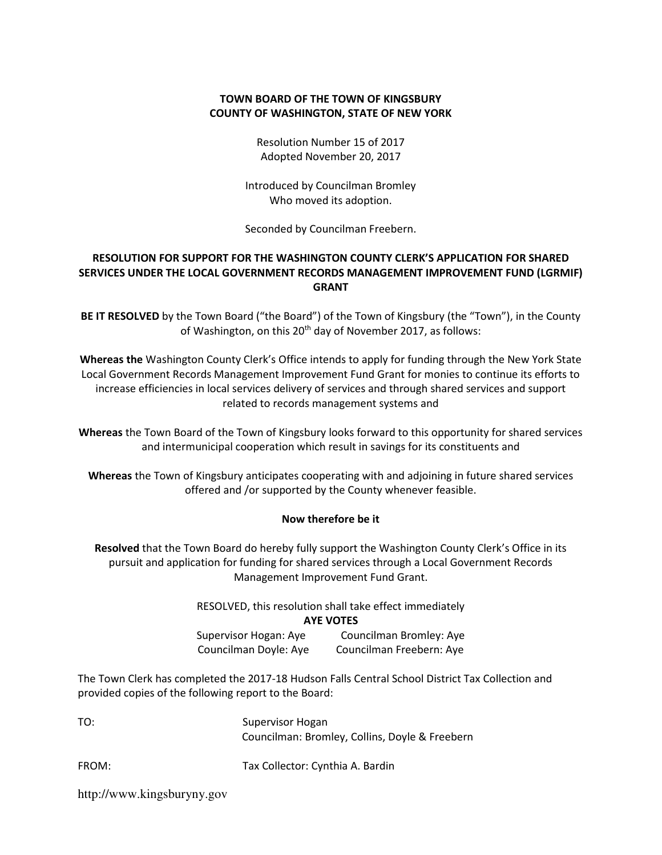# TOWN BOARD OF THE TOWN OF KINGSBURY COUNTY OF WASHINGTON, STATE OF NEW YORK

Resolution Number 15 of 2017 Adopted November 20, 2017

Introduced by Councilman Bromley Who moved its adoption.

Seconded by Councilman Freebern.

# RESOLUTION FOR SUPPORT FOR THE WASHINGTON COUNTY CLERK'S APPLICATION FOR SHARED SERVICES UNDER THE LOCAL GOVERNMENT RECORDS MANAGEMENT IMPROVEMENT FUND (LGRMIF) GRANT

BE IT RESOLVED by the Town Board ("the Board") of the Town of Kingsbury (the "Town"), in the County of Washington, on this  $20<sup>th</sup>$  day of November 2017, as follows:

Whereas the Washington County Clerk's Office intends to apply for funding through the New York State Local Government Records Management Improvement Fund Grant for monies to continue its efforts to increase efficiencies in local services delivery of services and through shared services and support related to records management systems and

Whereas the Town Board of the Town of Kingsbury looks forward to this opportunity for shared services and intermunicipal cooperation which result in savings for its constituents and

Whereas the Town of Kingsbury anticipates cooperating with and adjoining in future shared services offered and /or supported by the County whenever feasible.

#### Now therefore be it

Resolved that the Town Board do hereby fully support the Washington County Clerk's Office in its pursuit and application for funding for shared services through a Local Government Records Management Improvement Fund Grant.

RESOLVED, this resolution shall take effect immediately

AYE VOTES

Supervisor Hogan: Aye Councilman Bromley: Aye Councilman Doyle: Aye Councilman Freebern: Aye

The Town Clerk has completed the 2017-18 Hudson Falls Central School District Tax Collection and provided copies of the following report to the Board:

| TO:   | Supervisor Hogan                               |
|-------|------------------------------------------------|
|       | Councilman: Bromley, Collins, Doyle & Freebern |
| FROM: | Tax Collector: Cynthia A. Bardin               |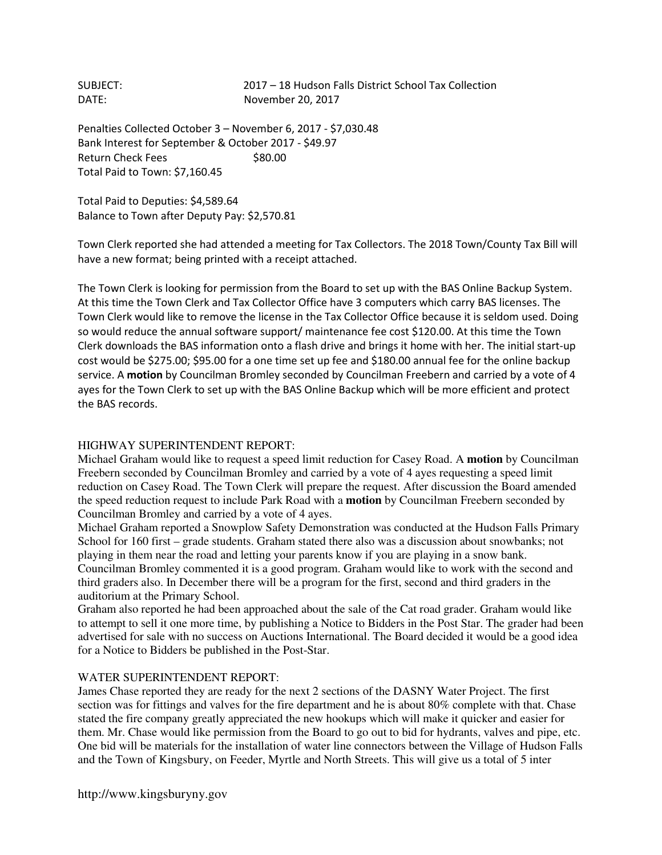SUBJECT: 2017 – 18 Hudson Falls District School Tax Collection DATE: November 20, 2017

Penalties Collected October 3 – November 6, 2017 - \$7,030.48 Bank Interest for September & October 2017 - \$49.97 Return Check Fees \$80.00 Total Paid to Town: \$7,160.45

Total Paid to Deputies: \$4,589.64 Balance to Town after Deputy Pay: \$2,570.81

Town Clerk reported she had attended a meeting for Tax Collectors. The 2018 Town/County Tax Bill will have a new format; being printed with a receipt attached.

The Town Clerk is looking for permission from the Board to set up with the BAS Online Backup System. At this time the Town Clerk and Tax Collector Office have 3 computers which carry BAS licenses. The Town Clerk would like to remove the license in the Tax Collector Office because it is seldom used. Doing so would reduce the annual software support/ maintenance fee cost \$120.00. At this time the Town Clerk downloads the BAS information onto a flash drive and brings it home with her. The initial start-up cost would be \$275.00; \$95.00 for a one time set up fee and \$180.00 annual fee for the online backup service. A motion by Councilman Bromley seconded by Councilman Freebern and carried by a vote of 4 ayes for the Town Clerk to set up with the BAS Online Backup which will be more efficient and protect the BAS records.

#### HIGHWAY SUPERINTENDENT REPORT:

Michael Graham would like to request a speed limit reduction for Casey Road. A **motion** by Councilman Freebern seconded by Councilman Bromley and carried by a vote of 4 ayes requesting a speed limit reduction on Casey Road. The Town Clerk will prepare the request. After discussion the Board amended the speed reduction request to include Park Road with a **motion** by Councilman Freebern seconded by Councilman Bromley and carried by a vote of 4 ayes.

Michael Graham reported a Snowplow Safety Demonstration was conducted at the Hudson Falls Primary School for 160 first – grade students. Graham stated there also was a discussion about snowbanks; not playing in them near the road and letting your parents know if you are playing in a snow bank. Councilman Bromley commented it is a good program. Graham would like to work with the second and third graders also. In December there will be a program for the first, second and third graders in the auditorium at the Primary School.

Graham also reported he had been approached about the sale of the Cat road grader. Graham would like to attempt to sell it one more time, by publishing a Notice to Bidders in the Post Star. The grader had been advertised for sale with no success on Auctions International. The Board decided it would be a good idea for a Notice to Bidders be published in the Post-Star.

#### WATER SUPERINTENDENT REPORT:

James Chase reported they are ready for the next 2 sections of the DASNY Water Project. The first section was for fittings and valves for the fire department and he is about 80% complete with that. Chase stated the fire company greatly appreciated the new hookups which will make it quicker and easier for them. Mr. Chase would like permission from the Board to go out to bid for hydrants, valves and pipe, etc. One bid will be materials for the installation of water line connectors between the Village of Hudson Falls and the Town of Kingsbury, on Feeder, Myrtle and North Streets. This will give us a total of 5 inter